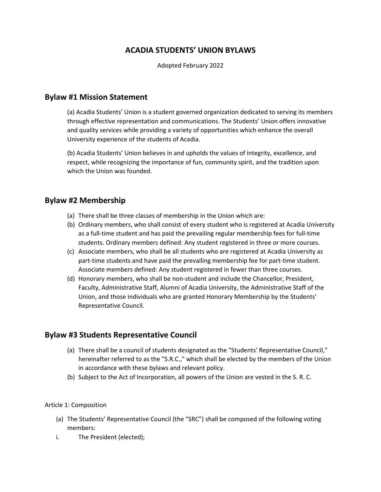# **ACADIA STUDENTS' UNION BYLAWS**

Adopted February 2022

## **Bylaw #1 Mission Statement**

(a) Acadia Students' Union is a student governed organization dedicated to serving its members through effective representation and communications. The Students' Union offers innovative and quality services while providing a variety of opportunities which enhance the overall University experience of the students of Acadia.

(b) Acadia Students' Union believes in and upholds the values of integrity, excellence, and respect, while recognizing the importance of fun, community spirit, and the tradition upon which the Union was founded.

## **Bylaw #2 Membership**

- (a) There shall be three classes of membership in the Union which are:
- (b) Ordinary members, who shall consist of every student who is registered at Acadia University as a full-time student and has paid the prevailing regular membership fees for full-time students. Ordinary members defined: Any student registered in three or more courses.
- (c) Associate members, who shall be all students who are registered at Acadia University as part-time students and have paid the prevailing membership fee for part-time student. Associate members defined: Any student registered in fewer than three courses.
- (d) Honorary members, who shall be non-student and include the Chancellor, President, Faculty, Administrative Staff, Alumni of Acadia University, the Administrative Staff of the Union, and those individuals who are granted Honorary Membership by the Students' Representative Council.

# **Bylaw #3 Students Representative Council**

- (a) There shall be a council of students designated as the "Students' Representative Council," hereinafter referred to as the "S.R.C.," which shall be elected by the members of the Union in accordance with these bylaws and relevant policy.
- (b) Subject to the Act of Incorporation, all powers of the Union are vested in the S. R. C.

## Article 1: Composition

- (a) The Students' Representative Council (the "SRC") shall be composed of the following voting members:
- i. The President (elected);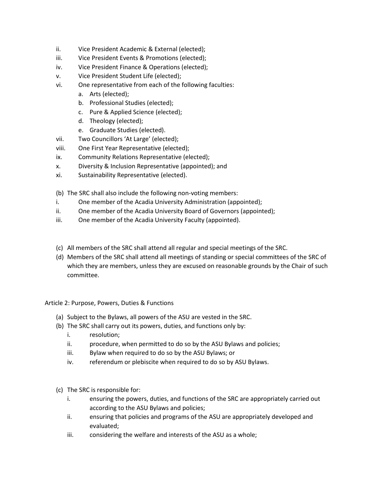- ii. Vice President Academic & External (elected);
- iii. Vice President Events & Promotions (elected);
- iv. Vice President Finance & Operations (elected);
- v. Vice President Student Life (elected);
- vi. One representative from each of the following faculties:
	- a. Arts (elected);
	- b. Professional Studies (elected);
	- c. Pure & Applied Science (elected);
	- d. Theology (elected);
	- e. Graduate Studies (elected).
- vii. Two Councillors 'At Large' (elected);
- viii. One First Year Representative (elected);
- ix. Community Relations Representative (elected);
- x. Diversity & Inclusion Representative (appointed); and
- xi. Sustainability Representative (elected).
- (b) The SRC shall also include the following non-voting members:
- i. One member of the Acadia University Administration (appointed);
- ii. One member of the Acadia University Board of Governors (appointed);
- iii. One member of the Acadia University Faculty (appointed).
- (c) All members of the SRC shall attend all regular and special meetings of the SRC.
- (d) Members of the SRC shall attend all meetings of standing or special committees of the SRC of which they are members, unless they are excused on reasonable grounds by the Chair of such committee.

Article 2: Purpose, Powers, Duties & Functions

- (a) Subject to the Bylaws, all powers of the ASU are vested in the SRC.
- (b) The SRC shall carry out its powers, duties, and functions only by:
	- i. resolution;
	- ii. procedure, when permitted to do so by the ASU Bylaws and policies;
	- iii. Bylaw when required to do so by the ASU Bylaws; or
	- iv. referendum or plebiscite when required to do so by ASU Bylaws.
- (c) The SRC is responsible for:
	- i. ensuring the powers, duties, and functions of the SRC are appropriately carried out according to the ASU Bylaws and policies;
	- ii. ensuring that policies and programs of the ASU are appropriately developed and evaluated;
	- iii. considering the welfare and interests of the ASU as a whole;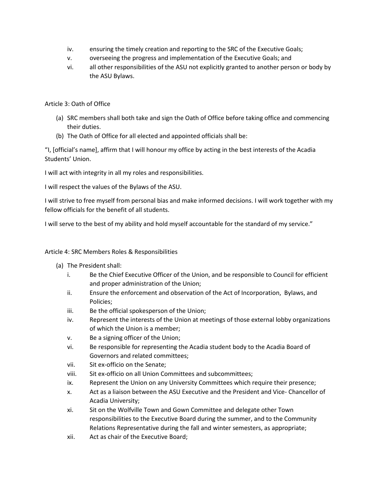- iv. ensuring the timely creation and reporting to the SRC of the Executive Goals;
- v. overseeing the progress and implementation of the Executive Goals; and
- vi. all other responsibilities of the ASU not explicitly granted to another person or body by the ASU Bylaws.

## Article 3: Oath of Office

- (a) SRC members shall both take and sign the Oath of Office before taking office and commencing their duties.
- (b) The Oath of Office for all elected and appointed officials shall be:

"I, [official's name], affirm that I will honour my office by acting in the best interests of the Acadia Students' Union.

I will act with integrity in all my roles and responsibilities.

I will respect the values of the Bylaws of the ASU.

I will strive to free myself from personal bias and make informed decisions. I will work together with my fellow officials for the benefit of all students.

I will serve to the best of my ability and hold myself accountable for the standard of my service."

### Article 4: SRC Members Roles & Responsibilities

- (a) The President shall:
	- i. Be the Chief Executive Officer of the Union, and be responsible to Council for efficient and proper administration of the Union;
	- ii. Ensure the enforcement and observation of the Act of Incorporation, Bylaws, and Policies;
	- iii. Be the official spokesperson of the Union;
	- iv. Represent the interests of the Union at meetings of those external lobby organizations of which the Union is a member;
	- v. Be a signing officer of the Union;
	- vi. Be responsible for representing the Acadia student body to the Acadia Board of Governors and related committees;
	- vii. Sit ex-officio on the Senate;
	- viii. Sit ex-officio on all Union Committees and subcommittees;
	- ix. Represent the Union on any University Committees which require their presence;
	- x. Act as a liaison between the ASU Executive and the President and Vice- Chancellor of Acadia University;
	- xi. Sit on the Wolfville Town and Gown Committee and delegate other Town responsibilities to the Executive Board during the summer, and to the Community Relations Representative during the fall and winter semesters, as appropriate;
	- xii. Act as chair of the Executive Board;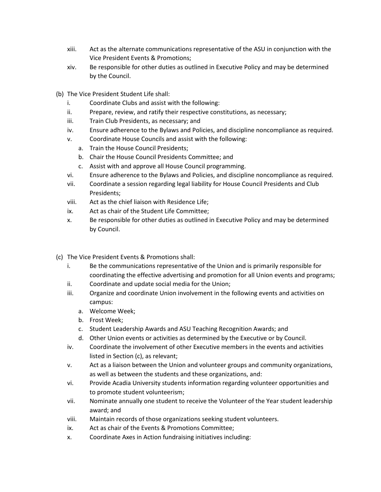- xiii. Act as the alternate communications representative of the ASU in conjunction with the Vice President Events & Promotions;
- xiv. Be responsible for other duties as outlined in Executive Policy and may be determined by the Council.
- (b) The Vice President Student Life shall:
	- i. Coordinate Clubs and assist with the following:
	- ii. Prepare, review, and ratify their respective constitutions, as necessary;
	- iii. Train Club Presidents, as necessary; and
	- iv. Ensure adherence to the Bylaws and Policies, and discipline noncompliance as required.
	- v. Coordinate House Councils and assist with the following:
		- a. Train the House Council Presidents;
		- b. Chair the House Council Presidents Committee; and
		- c. Assist with and approve all House Council programming.
	- vi. Ensure adherence to the Bylaws and Policies, and discipline noncompliance as required.
	- vii. Coordinate a session regarding legal liability for House Council Presidents and Club Presidents;
	- viii. Act as the chief liaison with Residence Life;
	- ix. Act as chair of the Student Life Committee;
	- x. Be responsible for other duties as outlined in Executive Policy and may be determined by Council.
- (c) The Vice President Events & Promotions shall:
	- i. Be the communications representative of the Union and is primarily responsible for coordinating the effective advertising and promotion for all Union events and programs;
	- ii. Coordinate and update social media for the Union;
	- iii. Organize and coordinate Union involvement in the following events and activities on campus:
		- a. Welcome Week;
		- b. Frost Week;
		- c. Student Leadership Awards and ASU Teaching Recognition Awards; and
		- d. Other Union events or activities as determined by the Executive or by Council.
	- iv. Coordinate the involvement of other Executive members in the events and activities listed in Section (c), as relevant;
	- v. Act as a liaison between the Union and volunteer groups and community organizations, as well as between the students and these organizations, and:
	- vi. Provide Acadia University students information regarding volunteer opportunities and to promote student volunteerism;
	- vii. Nominate annually one student to receive the Volunteer of the Year student leadership award; and
	- viii. Maintain records of those organizations seeking student volunteers.
	- ix. Act as chair of the Events & Promotions Committee;
	- x. Coordinate Axes in Action fundraising initiatives including: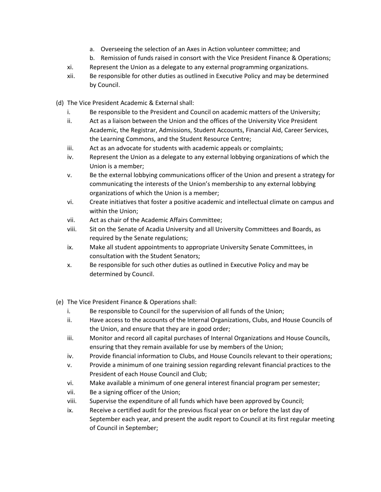- a. Overseeing the selection of an Axes in Action volunteer committee; and
- b. Remission of funds raised in consort with the Vice President Finance & Operations;
- xi. Represent the Union as a delegate to any external programming organizations.
- xii. Be responsible for other duties as outlined in Executive Policy and may be determined by Council.
- (d) The Vice President Academic & External shall:
	- i. Be responsible to the President and Council on academic matters of the University;
	- ii. Act as a liaison between the Union and the offices of the University Vice President Academic, the Registrar, Admissions, Student Accounts, Financial Aid, Career Services, the Learning Commons, and the Student Resource Centre;
	- iii. Act as an advocate for students with academic appeals or complaints;
	- iv. Represent the Union as a delegate to any external lobbying organizations of which the Union is a member;
	- v. Be the external lobbying communications officer of the Union and present a strategy for communicating the interests of the Union's membership to any external lobbying organizations of which the Union is a member;
	- vi. Create initiatives that foster a positive academic and intellectual climate on campus and within the Union;
	- vii. Act as chair of the Academic Affairs Committee;
	- viii. Sit on the Senate of Acadia University and all University Committees and Boards, as required by the Senate regulations;
	- ix. Make all student appointments to appropriate University Senate Committees, in consultation with the Student Senators;
	- x. Be responsible for such other duties as outlined in Executive Policy and may be determined by Council.
- (e) The Vice President Finance & Operations shall:
	- i. Be responsible to Council for the supervision of all funds of the Union;
	- ii. Have access to the accounts of the Internal Organizations, Clubs, and House Councils of the Union, and ensure that they are in good order;
	- iii. Monitor and record all capital purchases of Internal Organizations and House Councils, ensuring that they remain available for use by members of the Union;
	- iv. Provide financial information to Clubs, and House Councils relevant to their operations;
	- v. Provide a minimum of one training session regarding relevant financial practices to the President of each House Council and Club;
	- vi. Make available a minimum of one general interest financial program per semester;
	- vii. Be a signing officer of the Union;
	- viii. Supervise the expenditure of all funds which have been approved by Council;
	- ix. Receive a certified audit for the previous fiscal year on or before the last day of September each year, and present the audit report to Council at its first regular meeting of Council in September;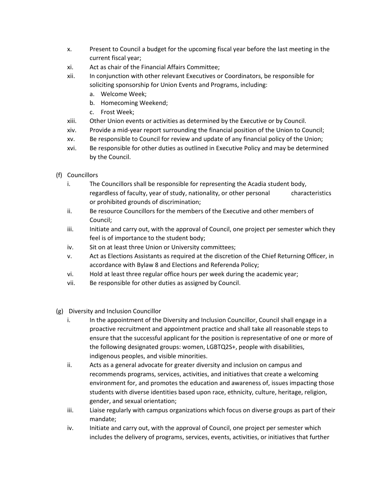- x. Present to Council a budget for the upcoming fiscal year before the last meeting in the current fiscal year;
- xi. Act as chair of the Financial Affairs Committee;
- xii. In conjunction with other relevant Executives or Coordinators, be responsible for soliciting sponsorship for Union Events and Programs, including:
	- a. Welcome Week;
	- b. Homecoming Weekend;
	- c. Frost Week;
- xiii. Other Union events or activities as determined by the Executive or by Council.
- xiv. Provide a mid-year report surrounding the financial position of the Union to Council;
- xv. Be responsible to Council for review and update of any financial policy of the Union;
- xvi. Be responsible for other duties as outlined in Executive Policy and may be determined by the Council.
- (f) Councillors
	- i. The Councillors shall be responsible for representing the Acadia student body, regardless of faculty, year of study, nationality, or other personal characteristics or prohibited grounds of discrimination;
	- ii. Be resource Councillors for the members of the Executive and other members of Council;
	- iii. Initiate and carry out, with the approval of Council, one project per semester which they feel is of importance to the student body;
	- iv. Sit on at least three Union or University committees;
	- v. Act as Elections Assistants as required at the discretion of the Chief Returning Officer, in accordance with Bylaw 8 and Elections and Referenda Policy;
	- vi. Hold at least three regular office hours per week during the academic year;
	- vii. Be responsible for other duties as assigned by Council.
- (g) Diversity and Inclusion Councillor
	- i. In the appointment of the Diversity and Inclusion Councillor, Council shall engage in a proactive recruitment and appointment practice and shall take all reasonable steps to ensure that the successful applicant for the position is representative of one or more of the following designated groups: women, LGBTQ2S+, people with disabilities, indigenous peoples, and visible minorities.
	- ii. Acts as a general advocate for greater diversity and inclusion on campus and recommends programs, services, activities, and initiatives that create a welcoming environment for, and promotes the education and awareness of, issues impacting those students with diverse identities based upon race, ethnicity, culture, heritage, religion, gender, and sexual orientation;
	- iii. Liaise regularly with campus organizations which focus on diverse groups as part of their mandate;
	- iv. Initiate and carry out, with the approval of Council, one project per semester which includes the delivery of programs, services, events, activities, or initiatives that further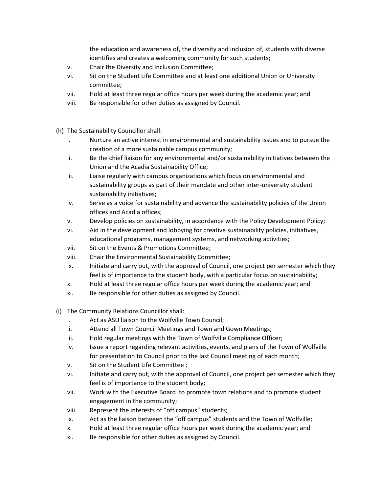the education and awareness of, the diversity and inclusion of, students with diverse identifies and creates a welcoming community for such students;

- v. Chair the Diversity and Inclusion Committee;
- vi. Sit on the Student Life Committee and at least one additional Union or University committee;
- vii. Hold at least three regular office hours per week during the academic year; and
- viii. Be responsible for other duties as assigned by Council.
- (h) The Sustainability Councillor shall:
	- i. Nurture an active interest in environmental and sustainability issues and to pursue the creation of a more sustainable campus community;
	- ii. Be the chief liaison for any environmental and/or sustainability initiatives between the Union and the Acadia Sustainability Office;
	- iii. Liaise regularly with campus organizations which focus on environmental and sustainability groups as part of their mandate and other inter-university student sustainability initiatives;
	- iv. Serve as a voice for sustainability and advance the sustainability policies of the Union offices and Acadia offices;
	- v. Develop policies on sustainability, in accordance with the Policy Development Policy;
	- vi. Aid in the development and lobbying for creative sustainability policies, initiatives, educational programs, management systems, and networking activities;
	- vii. Sit on the Events & Promotions Committee;
	- viii. Chair the Environmental Sustainability Committee;
	- ix. Initiate and carry out, with the approval of Council, one project per semester which they feel is of importance to the student body, with a particular focus on sustainability;
	- x. Hold at least three regular office hours per week during the academic year; and
	- xi. Be responsible for other duties as assigned by Council.
- (i) The Community Relations Councillor shall:
	- i. Act as ASU liaison to the Wolfville Town Council;
	- ii. Attend all Town Council Meetings and Town and Gown Meetings;
	- iii. Hold regular meetings with the Town of Wolfville Compliance Officer;
	- iv. Issue a report regarding relevant activities, events, and plans of the Town of Wolfville for presentation to Council prior to the last Council meeting of each month;
	- v. Sit on the Student Life Committee ;
	- vi. Initiate and carry out, with the approval of Council, one project per semester which they feel is of importance to the student body;
	- vii. Work with the Executive Board to promote town relations and to promote student engagement in the community;
	- viii. Represent the interests of "off campus" students;
	- ix. Act as the liaison between the "off campus" students and the Town of Wolfville;
	- x. Hold at least three regular office hours per week during the academic year; and
	- xi. Be responsible for other duties as assigned by Council.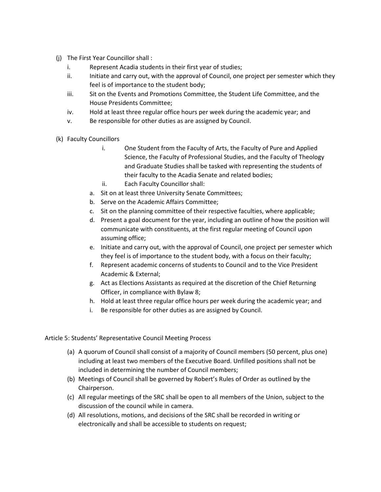- (j) The First Year Councillor shall :
	- i. Represent Acadia students in their first year of studies;
	- ii. Initiate and carry out, with the approval of Council, one project per semester which they feel is of importance to the student body;
	- iii. Sit on the Events and Promotions Committee, the Student Life Committee, and the House Presidents Committee;
	- iv. Hold at least three regular office hours per week during the academic year; and
	- v. Be responsible for other duties as are assigned by Council.
- (k) Faculty Councillors
	- i. One Student from the Faculty of Arts, the Faculty of Pure and Applied Science, the Faculty of Professional Studies, and the Faculty of Theology and Graduate Studies shall be tasked with representing the students of their faculty to the Acadia Senate and related bodies;
	- ii. Each Faculty Councillor shall:
	- a. Sit on at least three University Senate Committees;
	- b. Serve on the Academic Affairs Committee;
	- c. Sit on the planning committee of their respective faculties, where applicable;
	- d. Present a goal document for the year, including an outline of how the position will communicate with constituents, at the first regular meeting of Council upon assuming office;
	- e. Initiate and carry out, with the approval of Council, one project per semester which they feel is of importance to the student body, with a focus on their faculty;
	- f. Represent academic concerns of students to Council and to the Vice President Academic & External;
	- g. Act as Elections Assistants as required at the discretion of the Chief Returning Officer, in compliance with Bylaw 8;
	- h. Hold at least three regular office hours per week during the academic year; and
	- i. Be responsible for other duties as are assigned by Council.

### Article 5: Students' Representative Council Meeting Process

- (a) A quorum of Council shall consist of a majority of Council members (50 percent, plus one) including at least two members of the Executive Board. Unfilled positions shall not be included in determining the number of Council members;
- (b) Meetings of Council shall be governed by Robert's Rules of Order as outlined by the Chairperson.
- (c) All regular meetings of the SRC shall be open to all members of the Union, subject to the discussion of the council while in camera.
- (d) All resolutions, motions, and decisions of the SRC shall be recorded in writing or electronically and shall be accessible to students on request;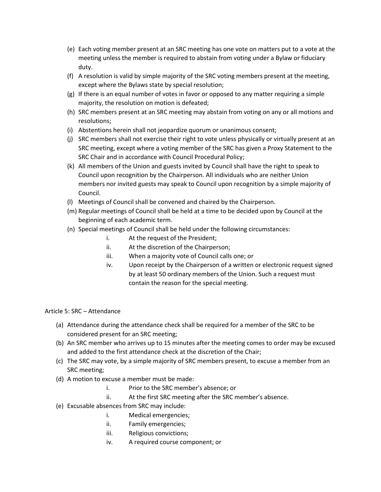- (e) Each voting member present at an SRC meeting has one vote on matters put to a vote at the meeting unless the member is required to abstain from voting under a Bylaw or fiduciary duty.
- (f) A resolution is valid by simple majority of the SRC voting members present at the meeting, except where the Bylaws state by special resolution;
- (g) If there is an equal number of votes in favor or opposed to any matter requiring a simple majority, the resolution on motion is defeated;
- (h) SRC members present at an SRC meeting may abstain from voting on any or all motions and resolutions;
- (i) Abstentions herein shall not jeopardize quorum or unanimous consent;
- (j) SRC members shall not exercise their right to vote unless physically or virtually present at an SRC meeting, except where a voting member of the SRC has given a Proxy Statement to the SRC Chair and in accordance with Council Procedural Policy;
- (k) All members of the Union and guests invited by Council shall have the right to speak to Council upon recognition by the Chairperson. All individuals who are neither Union members nor invited guests may speak to Council upon recognition by a simple majority of Council.
- (l) Meetings of Council shall be convened and chaired by the Chairperson.
- (m) Regular meetings of Council shall be held at a time to be decided upon by Council at the beginning of each academic term.
- (n) Special meetings of Council shall be held under the following circumstances:
	- i. At the request of the President;
	- ii. At the discretion of the Chairperson;
	- iii. When a majority vote of Council calls one; or
	- iv. Upon receipt by the Chairperson of a written or electronic request signed by at least 50 ordinary members of the Union. Such a request must contain the reason for the special meeting.

Article 5: SRC – Attendance

- (a) Attendance during the attendance check shall be required for a member of the SRC to be considered present for an SRC meeting;
- (b) An SRC member who arrives up to 15 minutes after the meeting comes to order may be excused and added to the first attendance check at the discretion of the Chair;
- (c) The SRC may vote, by a simple majority of SRC members present, to excuse a member from an SRC meeting;
- (d) A motion to excuse a member must be made:
	- i. Prior to the SRC member's absence; or
	- ii. At the first SRC meeting after the SRC member's absence.
- (e) Excusable absences from SRC may include:
	- i. Medical emergencies;
	- ii. Family emergencies;
	- iii. Religious convictions;
	- iv. A required course component; or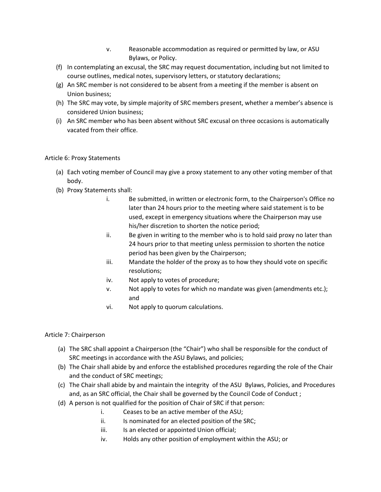- v. Reasonable accommodation as required or permitted by law, or ASU Bylaws, or Policy.
- (f) In contemplating an excusal, the SRC may request documentation, including but not limited to course outlines, medical notes, supervisory letters, or statutory declarations;
- (g) An SRC member is not considered to be absent from a meeting if the member is absent on Union business;
- (h) The SRC may vote, by simple majority of SRC members present, whether a member's absence is considered Union business;
- (i) An SRC member who has been absent without SRC excusal on three occasions is automatically vacated from their office.

## Article 6: Proxy Statements

- (a) Each voting member of Council may give a proxy statement to any other voting member of that body.
- (b) Proxy Statements shall:
	- i. Be submitted, in written or electronic form, to the Chairperson's Office no later than 24 hours prior to the meeting where said statement is to be used, except in emergency situations where the Chairperson may use his/her discretion to shorten the notice period;
	- ii. Be given in writing to the member who is to hold said proxy no later than 24 hours prior to that meeting unless permission to shorten the notice period has been given by the Chairperson;
	- iii. Mandate the holder of the proxy as to how they should vote on specific resolutions;
	- iv. Not apply to votes of procedure;
	- v. Not apply to votes for which no mandate was given (amendments etc.); and
	- vi. Not apply to quorum calculations.

## Article 7: Chairperson

- (a) The SRC shall appoint a Chairperson (the "Chair") who shall be responsible for the conduct of SRC meetings in accordance with the ASU Bylaws, and policies;
- (b) The Chair shall abide by and enforce the established procedures regarding the role of the Chair and the conduct of SRC meetings;
- (c) The Chair shall abide by and maintain the integrity of the ASU Bylaws, Policies, and Procedures and, as an SRC official, the Chair shall be governed by the Council Code of Conduct ;
- (d) A person is not qualified for the position of Chair of SRC if that person:
	- i. Ceases to be an active member of the ASU;
	- ii. Is nominated for an elected position of the SRC;
	- iii. Is an elected or appointed Union official;
	- iv. Holds any other position of employment within the ASU; or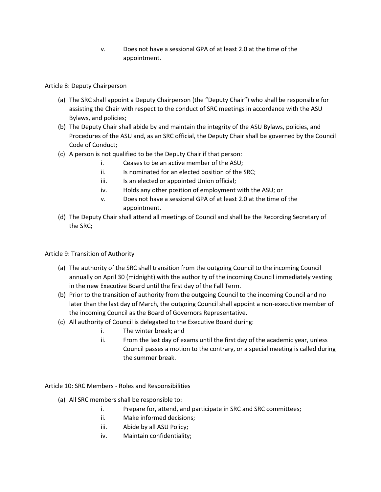v. Does not have a sessional GPA of at least 2.0 at the time of the appointment.

Article 8: Deputy Chairperson

- (a) The SRC shall appoint a Deputy Chairperson (the "Deputy Chair") who shall be responsible for assisting the Chair with respect to the conduct of SRC meetings in accordance with the ASU Bylaws, and policies;
- (b) The Deputy Chair shall abide by and maintain the integrity of the ASU Bylaws, policies, and Procedures of the ASU and, as an SRC official, the Deputy Chair shall be governed by the Council Code of Conduct;
- (c) A person is not qualified to be the Deputy Chair if that person:
	- i. Ceases to be an active member of the ASU;
	- ii. Is nominated for an elected position of the SRC:
	- iii. Is an elected or appointed Union official;
	- iv. Holds any other position of employment with the ASU; or
	- v. Does not have a sessional GPA of at least 2.0 at the time of the appointment.
- (d) The Deputy Chair shall attend all meetings of Council and shall be the Recording Secretary of the SRC;

Article 9: Transition of Authority

- (a) The authority of the SRC shall transition from the outgoing Council to the incoming Council annually on April 30 (midnight) with the authority of the incoming Council immediately vesting in the new Executive Board until the first day of the Fall Term.
- (b) Prior to the transition of authority from the outgoing Council to the incoming Council and no later than the last day of March, the outgoing Council shall appoint a non-executive member of the incoming Council as the Board of Governors Representative.
- (c) All authority of Council is delegated to the Executive Board during:
	- i. The winter break; and
	- ii. From the last day of exams until the first day of the academic year, unless Council passes a motion to the contrary, or a special meeting is called during the summer break.

Article 10: SRC Members - Roles and Responsibilities

- (a) All SRC members shall be responsible to:
	- i. Prepare for, attend, and participate in SRC and SRC committees;
	- ii. Make informed decisions;
	- iii. Abide by all ASU Policy;
	- iv. Maintain confidentiality;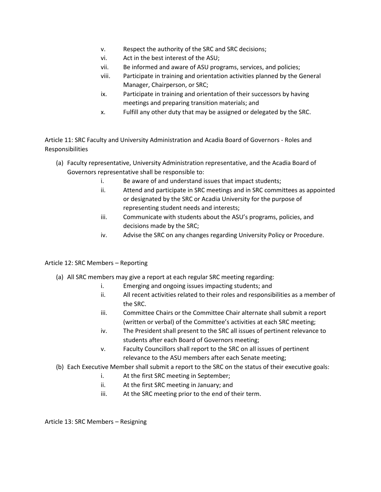- v. Respect the authority of the SRC and SRC decisions;
- vi. Act in the best interest of the ASU;
- vii. Be informed and aware of ASU programs, services, and policies;
- viii. Participate in training and orientation activities planned by the General Manager, Chairperson, or SRC;
- ix. Participate in training and orientation of their successors by having meetings and preparing transition materials; and
- x. Fulfill any other duty that may be assigned or delegated by the SRC.

Article 11: SRC Faculty and University Administration and Acadia Board of Governors - Roles and Responsibilities

- (a) Faculty representative, University Administration representative, and the Acadia Board of Governors representative shall be responsible to:
	- i. Be aware of and understand issues that impact students;
	- ii. Attend and participate in SRC meetings and in SRC committees as appointed or designated by the SRC or Acadia University for the purpose of representing student needs and interests;
	- iii. Communicate with students about the ASU's programs, policies, and decisions made by the SRC;
	- iv. Advise the SRC on any changes regarding University Policy or Procedure.

## Article 12: SRC Members – Reporting

- (a) All SRC members may give a report at each regular SRC meeting regarding:
	- i. Emerging and ongoing issues impacting students; and
	- ii. All recent activities related to their roles and responsibilities as a member of the SRC.
	- iii. Committee Chairs or the Committee Chair alternate shall submit a report (written or verbal) of the Committee's activities at each SRC meeting;
	- iv. The President shall present to the SRC all issues of pertinent relevance to students after each Board of Governors meeting;
	- v. Faculty Councillors shall report to the SRC on all issues of pertinent relevance to the ASU members after each Senate meeting;
- (b) Each Executive Member shall submit a report to the SRC on the status of their executive goals:
	- i. At the first SRC meeting in September;
	- ii. At the first SRC meeting in January; and
	- iii. At the SRC meeting prior to the end of their term.

Article 13: SRC Members – Resigning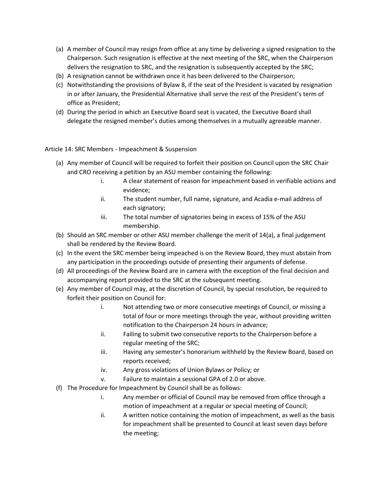- (a) A member of Council may resign from office at any time by delivering a signed resignation to the Chairperson. Such resignation is effective at the next meeting of the SRC, when the Chairperson delivers the resignation to SRC, and the resignation is subsequently accepted by the SRC;
- (b) A resignation cannot be withdrawn once it has been delivered to the Chairperson;
- (c) Notwithstanding the provisions of Bylaw 8, if the seat of the President is vacated by resignation in or after January, the Presidential Alternative shall serve the rest of the President's term of office as President;
- (d) During the period in which an Executive Board seat is vacated, the Executive Board shall delegate the resigned member's duties among themselves in a mutually agreeable manner.

Article 14: SRC Members - Impeachment & Suspension

- (a) Any member of Council will be required to forfeit their position on Council upon the SRC Chair and CRO receiving a petition by an ASU member containing the following:
	- i. A clear statement of reason for impeachment based in verifiable actions and evidence;
	- ii. The student number, full name, signature, and Acadia e-mail address of each signatory;
	- iii. The total number of signatories being in excess of 15% of the ASU membership.
- (b) Should an SRC member or other ASU member challenge the merit of 14(a), a final judgement shall be rendered by the Review Board.
- (c) In the event the SRC member being impeached is on the Review Board, they must abstain from any participation in the proceedings outside of presenting their arguments of defense.
- (d) All proceedings of the Review Board are in camera with the exception of the final decision and accompanying report provided to the SRC at the subsequent meeting.
- (e) Any member of Council may, at the discretion of Council, by special resolution, be required to forfeit their position on Council for:
	- i. Not attending two or more consecutive meetings of Council, or missing a total of four or more meetings through the year, without providing written notification to the Chairperson 24 hours in advance;
	- ii. Failing to submit two consecutive reports to the Chairperson before a regular meeting of the SRC;
	- iii. Having any semester's honorarium withheld by the Review Board, based on reports received;
	- iv. Any gross violations of Union Bylaws or Policy; or
	- v. Failure to maintain a sessional GPA of 2.0 or above.
- (f) The Procedure for Impeachment by Council shall be as follows:
	- i. Any member or official of Council may be removed from office through a motion of impeachment at a regular or special meeting of Council;
	- ii. A written notice containing the motion of impeachment, as well as the basis for impeachment shall be presented to Council at least seven days before the meeting;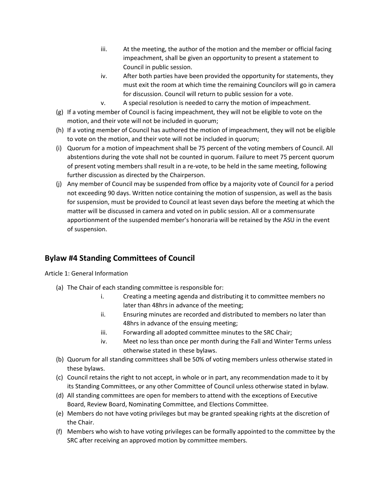- iii. At the meeting, the author of the motion and the member or official facing impeachment, shall be given an opportunity to present a statement to Council in public session.
- iv. After both parties have been provided the opportunity for statements, they must exit the room at which time the remaining Councilors will go in camera for discussion. Council will return to public session for a vote.
- v. A special resolution is needed to carry the motion of impeachment.
- (g) If a voting member of Council is facing impeachment, they will not be eligible to vote on the motion, and their vote will not be included in quorum;
- (h) If a voting member of Council has authored the motion of impeachment, they will not be eligible to vote on the motion, and their vote will not be included in quorum;
- (i) Quorum for a motion of impeachment shall be 75 percent of the voting members of Council. All abstentions during the vote shall not be counted in quorum. Failure to meet 75 percent quorum of present voting members shall result in a re-vote, to be held in the same meeting, following further discussion as directed by the Chairperson.
- (j) Any member of Council may be suspended from office by a majority vote of Council for a period not exceeding 90 days. Written notice containing the motion of suspension, as well as the basis for suspension, must be provided to Council at least seven days before the meeting at which the matter will be discussed in camera and voted on in public session. All or a commensurate apportionment of the suspended member's honoraria will be retained by the ASU in the event of suspension.

# **Bylaw #4 Standing Committees of Council**

Article 1: General Information

- (a) The Chair of each standing committee is responsible for:
	- i. Creating a meeting agenda and distributing it to committee members no later than 48hrs in advance of the meeting;
	- ii. Ensuring minutes are recorded and distributed to members no later than 48hrs in advance of the ensuing meeting;
	- iii. Forwarding all adopted committee minutes to the SRC Chair;
	- iv. Meet no less than once per month during the Fall and Winter Terms unless otherwise stated in these bylaws.
- (b) Quorum for all standing committees shall be 50% of voting members unless otherwise stated in these bylaws.
- (c) Council retains the right to not accept, in whole or in part, any recommendation made to it by its Standing Committees, or any other Committee of Council unless otherwise stated in bylaw.
- (d) All standing committees are open for members to attend with the exceptions of Executive Board, Review Board, Nominating Committee, and Elections Committee.
- (e) Members do not have voting privileges but may be granted speaking rights at the discretion of the Chair.
- (f) Members who wish to have voting privileges can be formally appointed to the committee by the SRC after receiving an approved motion by committee members.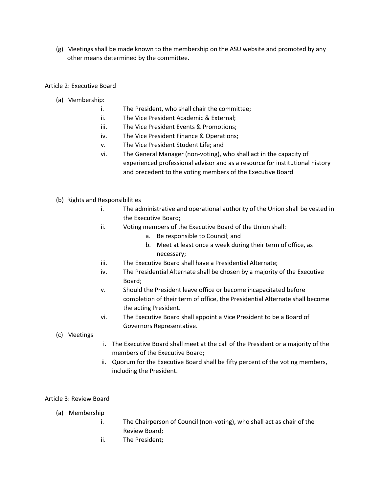(g) Meetings shall be made known to the membership on the ASU website and promoted by any other means determined by the committee.

## Article 2: Executive Board

- (a) Membership:
	- i. The President, who shall chair the committee;
	- ii. The Vice President Academic & External;
	- iii. The Vice President Events & Promotions;
	- iv. The Vice President Finance & Operations;
	- v. The Vice President Student Life; and
	- vi. The General Manager (non-voting), who shall act in the capacity of experienced professional advisor and as a resource for institutional history and precedent to the voting members of the Executive Board
- (b) Rights and Responsibilities
	- i. The administrative and operational authority of the Union shall be vested in the Executive Board;
	- ii. Voting members of the Executive Board of the Union shall:
		- a. Be responsible to Council; and
		- b. Meet at least once a week during their term of office, as necessary;
	- iii. The Executive Board shall have a Presidential Alternate;
	- iv. The Presidential Alternate shall be chosen by a majority of the Executive Board;
	- v. Should the President leave office or become incapacitated before completion of their term of office, the Presidential Alternate shall become the acting President.
	- vi. The Executive Board shall appoint a Vice President to be a Board of Governors Representative.

### (c) Meetings

- i. The Executive Board shall meet at the call of the President or a majority of the members of the Executive Board;
- ii. Quorum for the Executive Board shall be fifty percent of the voting members, including the President.

### Article 3: Review Board

- (a) Membership
	- i. The Chairperson of Council (non-voting), who shall act as chair of the Review Board;
	- ii. The President;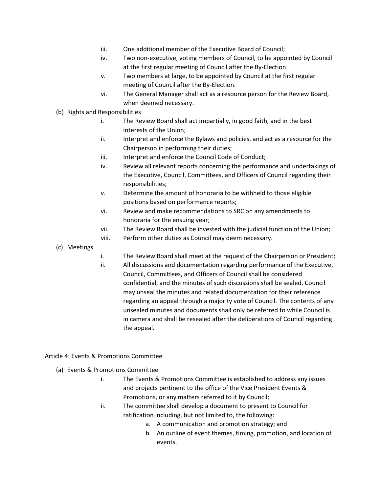- iii. One additional member of the Executive Board of Council;
- iv. Two non-executive, voting members of Council, to be appointed by Council at the first regular meeting of Council after the By-Election
- v. Two members at large, to be appointed by Council at the first regular meeting of Council after the By-Election.
- vi. The General Manager shall act as a resource person for the Review Board, when deemed necessary.
- (b) Rights and Responsibilities
	- i. The Review Board shall act impartially, in good faith, and in the best interests of the Union;
	- ii. Interpret and enforce the Bylaws and policies, and act as a resource for the Chairperson in performing their duties;
	- iii. Interpret and enforce the Council Code of Conduct;
	- iv. Review all relevant reports concerning the performance and undertakings of the Executive, Council, Committees, and Officers of Council regarding their responsibilities;
	- v. Determine the amount of honoraria to be withheld to those eligible positions based on performance reports;
	- vi. Review and make recommendations to SRC on any amendments to honoraria for the ensuing year;
	- vii. The Review Board shall be invested with the judicial function of the Union;
	- viii. Perform other duties as Council may deem necessary.
- (c) Meetings
- i. The Review Board shall meet at the request of the Chairperson or President;
- ii. All discussions and documentation regarding performance of the Executive, Council, Committees, and Officers of Council shall be considered confidential, and the minutes of such discussions shall be sealed. Council may unseal the minutes and related documentation for their reference regarding an appeal through a majority vote of Council. The contents of any unsealed minutes and documents shall only be referred to while Council is in camera and shall be resealed after the deliberations of Council regarding the appeal.

### Article 4: Events & Promotions Committee

- (a) Events & Promotions Committee
	- i. The Events & Promotions Committee is established to address any issues and projects pertinent to the office of the Vice President Events & Promotions, or any matters referred to it by Council;
	- ii. The committee shall develop a document to present to Council for ratification including, but not limited to, the following:
		- a. A communication and promotion strategy; and
		- b. An outline of event themes, timing, promotion, and location of events.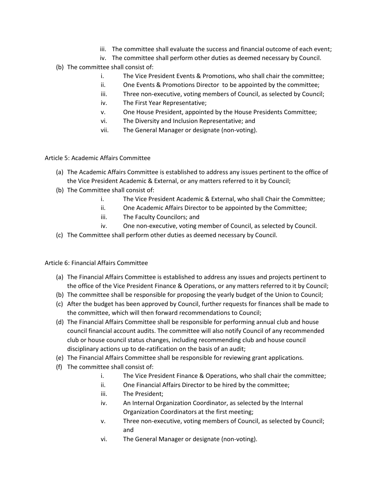- iii. The committee shall evaluate the success and financial outcome of each event;
- iv. The committee shall perform other duties as deemed necessary by Council.
- (b) The committee shall consist of:
	- i. The Vice President Events & Promotions, who shall chair the committee;
	- ii. One Events & Promotions Director to be appointed by the committee;
	- iii. Three non-executive, voting members of Council, as selected by Council;
	- iv. The First Year Representative;
	- v. One House President, appointed by the House Presidents Committee;
	- vi. The Diversity and Inclusion Representative; and
	- vii. The General Manager or designate (non-voting).

Article 5: Academic Affairs Committee

- (a) The Academic Affairs Committee is established to address any issues pertinent to the office of the Vice President Academic & External, or any matters referred to it by Council;
- (b) The Committee shall consist of:
	- i. The Vice President Academic & External, who shall Chair the Committee;
	- ii. One Academic Affairs Director to be appointed by the Committee;
	- iii. The Faculty Councilors; and
	- iv. One non-executive, voting member of Council, as selected by Council.
- (c) The Committee shall perform other duties as deemed necessary by Council.

Article 6: Financial Affairs Committee

- (a) The Financial Affairs Committee is established to address any issues and projects pertinent to the office of the Vice President Finance & Operations, or any matters referred to it by Council;
- (b) The committee shall be responsible for proposing the yearly budget of the Union to Council;
- (c) After the budget has been approved by Council, further requests for finances shall be made to the committee, which will then forward recommendations to Council;
- (d) The Financial Affairs Committee shall be responsible for performing annual club and house council financial account audits. The committee will also notify Council of any recommended club or house council status changes, including recommending club and house council disciplinary actions up to de-ratification on the basis of an audit;
- (e) The Financial Affairs Committee shall be responsible for reviewing grant applications.
- (f) The committee shall consist of:
	- i. The Vice President Finance & Operations, who shall chair the committee;
	- ii. One Financial Affairs Director to be hired by the committee;
	- iii. The President;
	- iv. An Internal Organization Coordinator, as selected by the Internal Organization Coordinators at the first meeting;
	- v. Three non-executive, voting members of Council, as selected by Council; and
	- vi. The General Manager or designate (non-voting).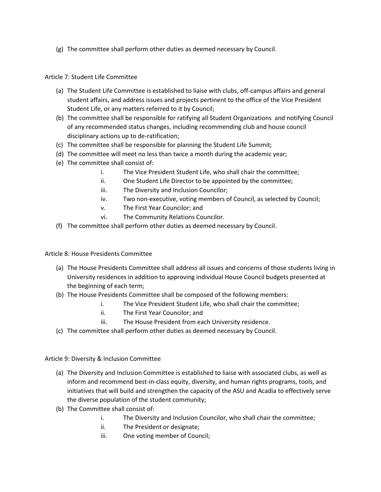(g) The committee shall perform other duties as deemed necessary by Council.

### Article 7: Student Life Committee

- (a) The Student Life Committee is established to liaise with clubs, off-campus affairs and general student affairs, and address issues and projects pertinent to the office of the Vice President Student Life, or any matters referred to it by Council;
- (b) The committee shall be responsible for ratifying all Student Organizations and notifying Council of any recommended status changes, including recommending club and house council disciplinary actions up to de-ratification;
- (c) The committee shall be responsible for planning the Student Life Summit;
- (d) The committee will meet no less than twice a month during the academic year;
- (e) The committee shall consist of:
	- i. The Vice President Student Life, who shall chair the committee;
	- ii. One Student Life Director to be appointed by the committee;
	- iii. The Diversity and Inclusion Councilor;
	- iv. Two non-executive, voting members of Council, as selected by Council;
	- v. The First Year Councilor; and
	- vi. The Community Relations Councilor.
- (f) The committee shall perform other duties as deemed necessary by Council.

Article 8: House Presidents Committee

- (a) The House Presidents Committee shall address all issues and concerns of those students living in University residences in addition to approving individual House Council budgets presented at the beginning of each term;
- (b) The House Presidents Committee shall be composed of the following members:
	- i. The Vice President Student Life, who shall chair the committee;
	- ii. The First Year Councilor; and
	- iii. The House President from each University residence.
- (c) The committee shall perform other duties as deemed necessary by Council.

Article 9: Diversity & Inclusion Committee

- (a) The Diversity and Inclusion Committee is established to liaise with associated clubs, as well as inform and recommend best-in-class equity, diversity, and human rights programs, tools, and initiatives that will build and strengthen the capacity of the ASU and Acadia to effectively serve the diverse population of the student community;
- (b) The Committee shall consist of:
	- i. The Diversity and Inclusion Councilor, who shall chair the committee;
	- ii. The President or designate;
	- iii. One voting member of Council;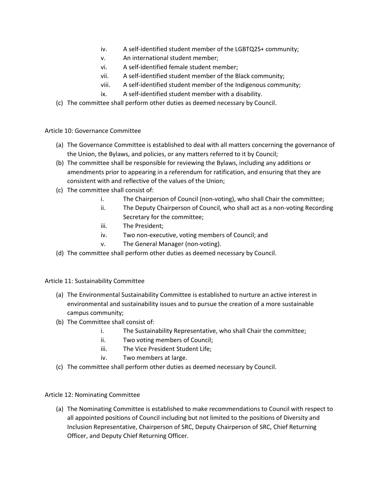- iv. A self-identified student member of the LGBTQ2S+ community;
- v. An international student member;
- vi. A self-identified female student member;
- vii. A self-identified student member of the Black community;
- viii. A self-identified student member of the Indigenous community;
- ix. A self-identified student member with a disability.
- (c) The committee shall perform other duties as deemed necessary by Council.

Article 10: Governance Committee

- (a) The Governance Committee is established to deal with all matters concerning the governance of the Union, the Bylaws, and policies, or any matters referred to it by Council;
- (b) The committee shall be responsible for reviewing the Bylaws, including any additions or amendments prior to appearing in a referendum for ratification, and ensuring that they are consistent with and reflective of the values of the Union;
- (c) The committee shall consist of:
	- i. The Chairperson of Council (non-voting), who shall Chair the committee;
	- ii. The Deputy Chairperson of Council, who shall act as a non-voting Recording Secretary for the committee;
	- iii. The President;
	- iv. Two non-executive, voting members of Council; and
	- v. The General Manager (non-voting).
- (d) The committee shall perform other duties as deemed necessary by Council.

## Article 11: Sustainability Committee

- (a) The Environmental Sustainability Committee is established to nurture an active interest in environmental and sustainability issues and to pursue the creation of a more sustainable campus community;
- (b) The Committee shall consist of:
	- i. The Sustainability Representative, who shall Chair the committee;
	- ii. Two voting members of Council;
	- iii. The Vice President Student Life;
	- iv. Two members at large.
- (c) The committee shall perform other duties as deemed necessary by Council.

## Article 12: Nominating Committee

(a) The Nominating Committee is established to make recommendations to Council with respect to all appointed positions of Council including but not limited to the positions of Diversity and Inclusion Representative, Chairperson of SRC, Deputy Chairperson of SRC, Chief Returning Officer, and Deputy Chief Returning Officer.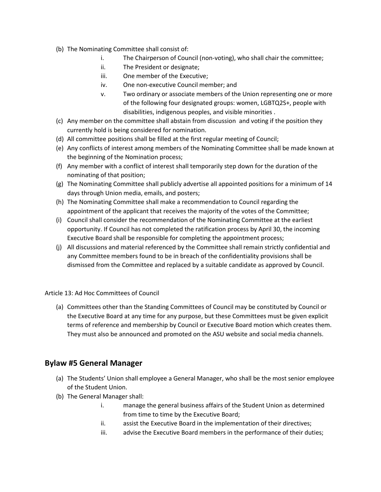- (b) The Nominating Committee shall consist of:
	- i. The Chairperson of Council (non-voting), who shall chair the committee;
	- ii. The President or designate;
	- iii. One member of the Executive;
	- iv. One non-executive Council member; and
	- v. Two ordinary or associate members of the Union representing one or more of the following four designated groups: women, LGBTQ2S+, people with disabilities, indigenous peoples, and visible minorities .
- (c) Any member on the committee shall abstain from discussion and voting if the position they currently hold is being considered for nomination.
- (d) All committee positions shall be filled at the first regular meeting of Council;
- (e) Any conflicts of interest among members of the Nominating Committee shall be made known at the beginning of the Nomination process;
- (f) Any member with a conflict of interest shall temporarily step down for the duration of the nominating of that position;
- (g) The Nominating Committee shall publicly advertise all appointed positions for a minimum of 14 days through Union media, emails, and posters;
- (h) The Nominating Committee shall make a recommendation to Council regarding the appointment of the applicant that receives the majority of the votes of the Committee;
- (i) Council shall consider the recommendation of the Nominating Committee at the earliest opportunity. If Council has not completed the ratification process by April 30, the incoming Executive Board shall be responsible for completing the appointment process;
- (j) All discussions and material referenced by the Committee shall remain strictly confidential and any Committee members found to be in breach of the confidentiality provisions shall be dismissed from the Committee and replaced by a suitable candidate as approved by Council.

Article 13: Ad Hoc Committees of Council

(a) Committees other than the Standing Committees of Council may be constituted by Council or the Executive Board at any time for any purpose, but these Committees must be given explicit terms of reference and membership by Council or Executive Board motion which creates them. They must also be announced and promoted on the ASU website and social media channels.

# **Bylaw #5 General Manager**

- (a) The Students' Union shall employee a General Manager, who shall be the most senior employee of the Student Union.
- (b) The General Manager shall:
	- i. manage the general business affairs of the Student Union as determined from time to time by the Executive Board;
	- ii. assist the Executive Board in the implementation of their directives;
	- iii. advise the Executive Board members in the performance of their duties;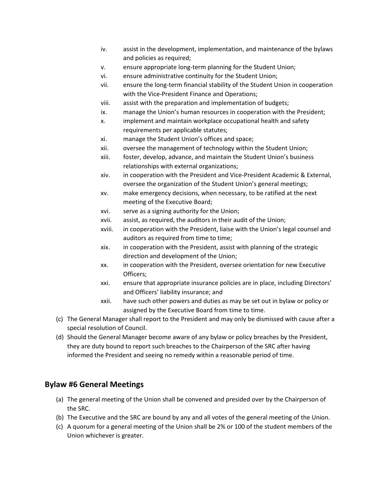- iv. assist in the development, implementation, and maintenance of the bylaws and policies as required;
- v. ensure appropriate long-term planning for the Student Union;
- vi. ensure administrative continuity for the Student Union;
- vii. ensure the long-term financial stability of the Student Union in cooperation with the Vice-President Finance and Operations;
- viii. assist with the preparation and implementation of budgets;
- ix. manage the Union's human resources in cooperation with the President;
- x. implement and maintain workplace occupational health and safety requirements per applicable statutes;
- xi. manage the Student Union's offices and space;
- xii. oversee the management of technology within the Student Union;
- xiii. foster, develop, advance, and maintain the Student Union's business relationships with external organizations;
- xiv. in cooperation with the President and Vice-President Academic & External, oversee the organization of the Student Union's general meetings;
- xv. make emergency decisions, when necessary, to be ratified at the next meeting of the Executive Board;
- xvi. serve as a signing authority for the Union;
- xvii. assist, as required, the auditors in their audit of the Union;
- xviii. in cooperation with the President, liaise with the Union's legal counsel and auditors as required from time to time;
- xix. in cooperation with the President, assist with planning of the strategic direction and development of the Union;
- xx. in cooperation with the President, oversee orientation for new Executive Officers;
- xxi. ensure that appropriate insurance policies are in place, including Directors' and Officers' liability insurance; and
- xxii. have such other powers and duties as may be set out in bylaw or policy or assigned by the Executive Board from time to time.
- (c) The General Manager shall report to the President and may only be dismissed with cause after a special resolution of Council.
- (d) Should the General Manager become aware of any bylaw or policy breaches by the President, they are duty bound to report such breaches to the Chairperson of the SRC after having informed the President and seeing no remedy within a reasonable period of time.

# **Bylaw #6 General Meetings**

- (a) The general meeting of the Union shall be convened and presided over by the Chairperson of the SRC.
- (b) The Executive and the SRC are bound by any and all votes of the general meeting of the Union.
- (c) A quorum for a general meeting of the Union shall be 2% or 100 of the student members of the Union whichever is greater.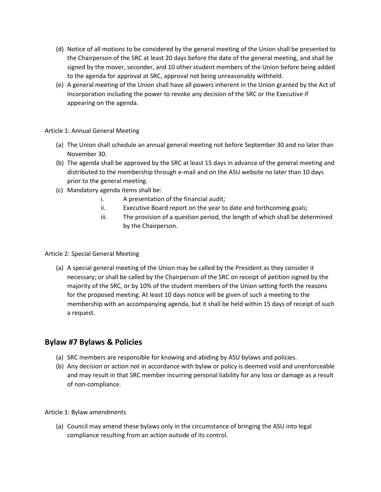- (d) Notice of all motions to be considered by the general meeting of the Union shall be presented to the Chairperson of the SRC at least 20 days before the date of the general meeting, and shall be signed by the mover, seconder, and 10 other student members of the Union before being added to the agenda for approval at SRC, approval not being unreasonably withheld.
- (e) A general meeting of the Union shall have all powers inherent in the Union granted by the Act of Incorporation including the power to revoke any decision of the SRC or the Executive if appearing on the agenda.

### Article 1: Annual General Meeting

- (a) The Union shall schedule an annual general meeting not before September 30 and no later than November 30.
- (b) The agenda shall be approved by the SRC at least 15 days in advance of the general meeting and distributed to the membership through e-mail and on the ASU website no later than 10 days prior to the general meeting.
- (c) Mandatory agenda items shall be:
	- i. A presentation of the financial audit;
	- ii. Executive Board report on the year to date and forthcoming goals;
	- iii. The provision of a question period, the length of which shall be determined by the Chairperson.

## Article 2: Special General Meeting

(a) A special general meeting of the Union may be called by the President as they consider it necessary; or shall be called by the Chairperson of the SRC on receipt of petition signed by the majority of the SRC, or by 10% of the student members of the Union setting forth the reasons for the proposed meeting. At least 10 days notice will be given of such a meeting to the membership with an accompanying agenda, but it shall be held within 15 days of receipt of such a request.

# **Bylaw #7 Bylaws & Policies**

- (a) SRC members are responsible for knowing and abiding by ASU bylaws and policies.
- (b) Any decision or action not in accordance with bylaw or policy is deemed void and unenforceable and may result in that SRC member incurring personal liability for any loss or damage as a result of non-compliance.

### Article 1: Bylaw amendments

(a) Council may amend these bylaws only in the circumstance of bringing the ASU into legal compliance resulting from an action outside of its control.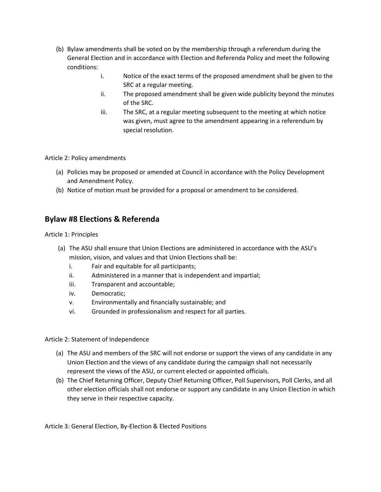- (b) Bylaw amendments shall be voted on by the membership through a referendum during the General Election and in accordance with Election and Referenda Policy and meet the following conditions:
	- i. Notice of the exact terms of the proposed amendment shall be given to the SRC at a regular meeting.
	- ii. The proposed amendment shall be given wide publicity beyond the minutes of the SRC.
	- iii. The SRC, at a regular meeting subsequent to the meeting at which notice was given, must agree to the amendment appearing in a referendum by special resolution.

Article 2: Policy amendments

- (a) Policies may be proposed or amended at Council in accordance with the Policy Development and Amendment Policy.
- (b) Notice of motion must be provided for a proposal or amendment to be considered.

# **Bylaw #8 Elections & Referenda**

Article 1: Principles

- (a) The ASU shall ensure that Union Elections are administered in accordance with the ASU's mission, vision, and values and that Union Elections shall be:
	- i. Fair and equitable for all participants;
	- ii. Administered in a manner that is independent and impartial;
	- iii. Transparent and accountable;
	- iv. Democratic;
	- v. Environmentally and financially sustainable; and
	- vi. Grounded in professionalism and respect for all parties.

Article 2: Statement of Independence

- (a) The ASU and members of the SRC will not endorse or support the views of any candidate in any Union Election and the views of any candidate during the campaign shall not necessarily represent the views of the ASU, or current elected or appointed officials.
- (b) The Chief Returning Officer, Deputy Chief Returning Officer, Poll Supervisors, Poll Clerks, and all other election officials shall not endorse or support any candidate in any Union Election in which they serve in their respective capacity.

Article 3: General Election, By-Election & Elected Positions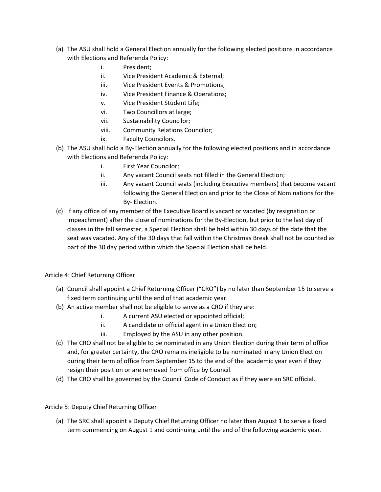- (a) The ASU shall hold a General Election annually for the following elected positions in accordance with Elections and Referenda Policy:
	- i. President;
	- ii. Vice President Academic & External;
	- iii. Vice President Events & Promotions;
	- iv. Vice President Finance & Operations;
	- v. Vice President Student Life;
	- vi. Two Councillors at large;
	- vii. Sustainability Councilor;
	- viii. Community Relations Councilor;
	- ix. Faculty Councilors.
- (b) The ASU shall hold a By-Election annually for the following elected positions and in accordance with Elections and Referenda Policy:
	- i. First Year Councilor;
	- ii. Any vacant Council seats not filled in the General Election;
	- iii. Any vacant Council seats (including Executive members) that become vacant following the General Election and prior to the Close of Nominations for the By- Election.
- (c) If any office of any member of the Executive Board is vacant or vacated (by resignation or impeachment) after the close of nominations for the By-Election, but prior to the last day of classes in the fall semester, a Special Election shall be held within 30 days of the date that the seat was vacated. Any of the 30 days that fall within the Christmas Break shall not be counted as part of the 30 day period within which the Special Election shall be held.

### Article 4: Chief Returning Officer

- (a) Council shall appoint a Chief Returning Officer ("CRO") by no later than September 15 to serve a fixed term continuing until the end of that academic year.
- (b) An active member shall not be eligible to serve as a CRO if they are:
	- i. A current ASU elected or appointed official;
	- ii. A candidate or official agent in a Union Election;
	- iii. Employed by the ASU in any other position.
- (c) The CRO shall not be eligible to be nominated in any Union Election during their term of office and, for greater certainty, the CRO remains ineligible to be nominated in any Union Election during their term of office from September 15 to the end of the academic year even if they resign their position or are removed from office by Council.
- (d) The CRO shall be governed by the Council Code of Conduct as if they were an SRC official.

### Article 5: Deputy Chief Returning Officer

(a) The SRC shall appoint a Deputy Chief Returning Officer no later than August 1 to serve a fixed term commencing on August 1 and continuing until the end of the following academic year.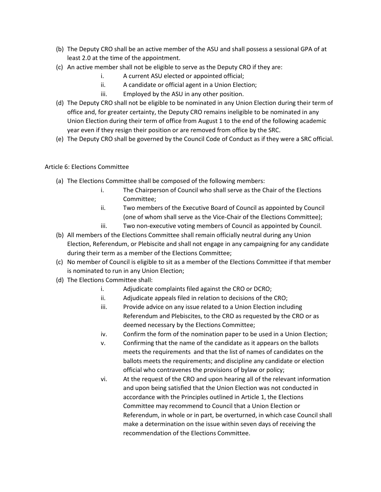- (b) The Deputy CRO shall be an active member of the ASU and shall possess a sessional GPA of at least 2.0 at the time of the appointment.
- (c) An active member shall not be eligible to serve as the Deputy CRO if they are:
	- i. A current ASU elected or appointed official;
	- ii. A candidate or official agent in a Union Election;
	- iii. Employed by the ASU in any other position.
- (d) The Deputy CRO shall not be eligible to be nominated in any Union Election during their term of office and, for greater certainty, the Deputy CRO remains ineligible to be nominated in any Union Election during their term of office from August 1 to the end of the following academic year even if they resign their position or are removed from office by the SRC.
- (e) The Deputy CRO shall be governed by the Council Code of Conduct as if they were a SRC official.

## Article 6: Elections Committee

- (a) The Elections Committee shall be composed of the following members:
	- i. The Chairperson of Council who shall serve as the Chair of the Elections Committee;
	- ii. Two members of the Executive Board of Council as appointed by Council (one of whom shall serve as the Vice-Chair of the Elections Committee);
	- iii. Two non-executive voting members of Council as appointed by Council.
- (b) All members of the Elections Committee shall remain officially neutral during any Union Election, Referendum, or Plebiscite and shall not engage in any campaigning for any candidate during their term as a member of the Elections Committee;
- (c) No member of Council is eligible to sit as a member of the Elections Committee if that member is nominated to run in any Union Election;
- (d) The Elections Committee shall:
	- i. Adjudicate complaints filed against the CRO or DCRO;
	- ii. Adjudicate appeals filed in relation to decisions of the CRO;
	- iii. Provide advice on any issue related to a Union Election including Referendum and Plebiscites, to the CRO as requested by the CRO or as deemed necessary by the Elections Committee;
	- iv. Confirm the form of the nomination paper to be used in a Union Election;
	- v. Confirming that the name of the candidate as it appears on the ballots meets the requirements and that the list of names of candidates on the ballots meets the requirements; and discipline any candidate or election official who contravenes the provisions of bylaw or policy;
	- vi. At the request of the CRO and upon hearing all of the relevant information and upon being satisfied that the Union Election was not conducted in accordance with the Principles outlined in Article 1, the Elections Committee may recommend to Council that a Union Election or Referendum, in whole or in part, be overturned, in which case Council shall make a determination on the issue within seven days of receiving the recommendation of the Elections Committee.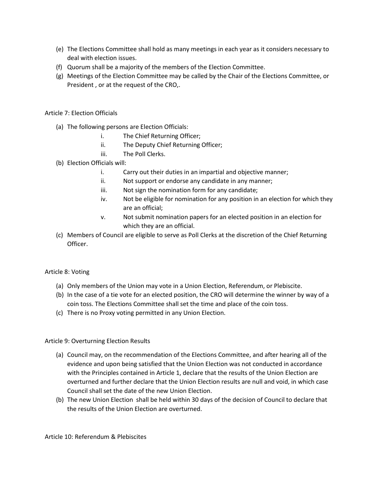- (e) The Elections Committee shall hold as many meetings in each year as it considers necessary to deal with election issues.
- (f) Quorum shall be a majority of the members of the Election Committee.
- (g) Meetings of the Election Committee may be called by the Chair of the Elections Committee, or President , or at the request of the CRO,.

Article 7: Election Officials

- (a) The following persons are Election Officials:
	- i. The Chief Returning Officer;
	- ii. The Deputy Chief Returning Officer;
	- iii. The Poll Clerks.
- (b) Election Officials will:
	- i. Carry out their duties in an impartial and objective manner;
	- ii. Not support or endorse any candidate in any manner;
	- iii. Not sign the nomination form for any candidate;
	- iv. Not be eligible for nomination for any position in an election for which they are an official;
	- v. Not submit nomination papers for an elected position in an election for which they are an official.
- (c) Members of Council are eligible to serve as Poll Clerks at the discretion of the Chief Returning Officer.

### Article 8: Voting

- (a) Only members of the Union may vote in a Union Election, Referendum, or Plebiscite.
- (b) In the case of a tie vote for an elected position, the CRO will determine the winner by way of a coin toss. The Elections Committee shall set the time and place of the coin toss.
- (c) There is no Proxy voting permitted in any Union Election.

### Article 9: Overturning Election Results

- (a) Council may, on the recommendation of the Elections Committee, and after hearing all of the evidence and upon being satisfied that the Union Election was not conducted in accordance with the Principles contained in Article 1, declare that the results of the Union Election are overturned and further declare that the Union Election results are null and void, in which case Council shall set the date of the new Union Election.
- (b) The new Union Election shall be held within 30 days of the decision of Council to declare that the results of the Union Election are overturned.

Article 10: Referendum & Plebiscites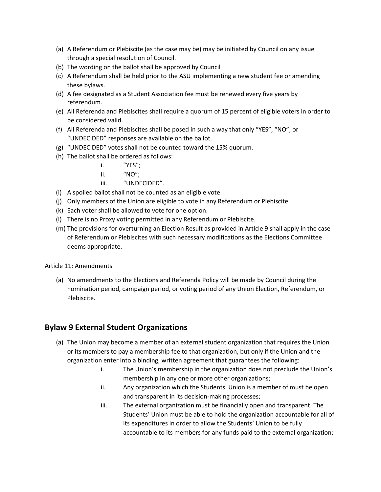- (a) A Referendum or Plebiscite (as the case may be) may be initiated by Council on any issue through a special resolution of Council.
- (b) The wording on the ballot shall be approved by Council
- (c) A Referendum shall be held prior to the ASU implementing a new student fee or amending these bylaws.
- (d) A fee designated as a Student Association fee must be renewed every five years by referendum.
- (e) All Referenda and Plebiscites shall require a quorum of 15 percent of eligible voters in order to be considered valid.
- (f) All Referenda and Plebiscites shall be posed in such a way that only "YES", "NO", or "UNDECIDED" responses are available on the ballot.
- (g) "UNDECIDED" votes shall not be counted toward the 15% quorum.
- (h) The ballot shall be ordered as follows:
	- i. "YES";
	- ii. "NO";
	- iii. "UNDECIDED".
- (i) A spoiled ballot shall not be counted as an eligible vote.
- (j) Only members of the Union are eligible to vote in any Referendum or Plebiscite.
- (k) Each voter shall be allowed to vote for one option.
- (l) There is no Proxy voting permitted in any Referendum or Plebiscite.
- (m) The provisions for overturning an Election Result as provided in Article 9 shall apply in the case of Referendum or Plebiscites with such necessary modifications as the Elections Committee deems appropriate.

### Article 11: Amendments

(a) No amendments to the Elections and Referenda Policy will be made by Council during the nomination period, campaign period, or voting period of any Union Election, Referendum, or Plebiscite.

# **Bylaw 9 External Student Organizations**

- (a) The Union may become a member of an external student organization that requires the Union or its members to pay a membership fee to that organization, but only if the Union and the organization enter into a binding, written agreement that guarantees the following:
	- i. The Union's membership in the organization does not preclude the Union's membership in any one or more other organizations;
	- ii. Any organization which the Students' Union is a member of must be open and transparent in its decision-making processes;
	- iii. The external organization must be financially open and transparent. The Students' Union must be able to hold the organization accountable for all of its expenditures in order to allow the Students' Union to be fully accountable to its members for any funds paid to the external organization;